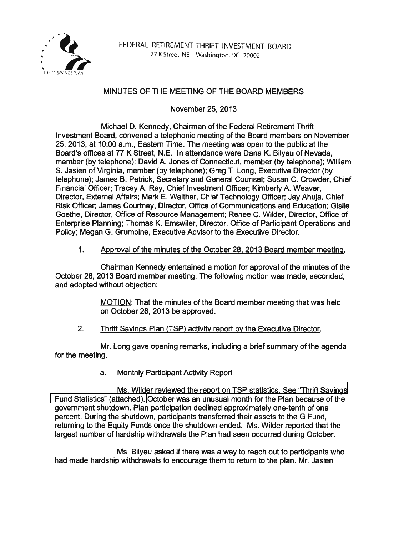

## MINUTES OF THE MEETING OF THE BOARD MEMBERS

November 25, 2013

Michael D. Kennedy, Chairman of the Federal Retirement Thrift Investment Board, convened a telephonic meeting of the Board members on November 25, 2013, at 10:00 a.m., Eastern Time. The meeting was open to the public at the Board's offices at 77 K Street, N.E. In attendance were Dana K. Bilyeu of Nevada, member (by telephone); David A. Jones of Connecticut, member (by telephone); William S. Jasien of Virginia, member (by telephone); Greg T. Long, Executive Director (by telephone); James B. Petrick, Secretary and General Counsel; Susan C. Crowder, Chief Financial Officer; Tracey A. Ray, Chief Investment Officer; Kimberly A. Weaver, Director, External Affairs; Mark E. Walther, Chief Technology Officer; Jay Ahuja, Chief Risk Officer; James Courtney, Director, Office of Communications and Education; Gisile Goethe, Director, Office of Resource Management; Renee C. Wilder, Director, Office of Enterprise Planning; Thomas K. Emswiler, Director, Office of Participant Operations and Policy; Megan G. Grumbine, Executive Advisor to the Executive Director.

## 1. Approval of the minutes of the October 28. 2013 Board member meeting.

Chairman Kennedy entertained a motion for approval of the minutes of the October 28, 2013 Board member meeting. The following motion was made, seconded, and adopted without objection:

> MOTION: That the minutes of the Board member meeting that was held on October 28, 2013 be approved.

2. Thrift Savings Plan (TSP) activity report by the Executive Director.

Mr. Long gave opening remarks, including a brief summary of the agenda for the meeting.

a. Monthly Participant Activity Report

[Ms. Wilder reviewed the report on TSP statistics. See "Thrift Savings](http://www.frtib.gov/pdf/minutes/MM-2013Nov-Att1.pdf)  [Fund Statistics" \(attached\).](http://www.frtib.gov/pdf/minutes/MM-2013Nov-Att1.pdf) October was an unusual month for the Plan because of the government shutdown. Plan participation declined approximately one-tenth of one percent. During the shutdown, participants transferred their assets to the G Fund, returning to the Equity Funds once the shutdown ended. Ms. Wilder reported that the largest number of hardship withdrawals the Plan had seen occurred during October.

Ms. Bilyeu asked if there was a way to reach out to participants who had made hardship withdrawals to encourage them to return to the plan. Mr. Jasien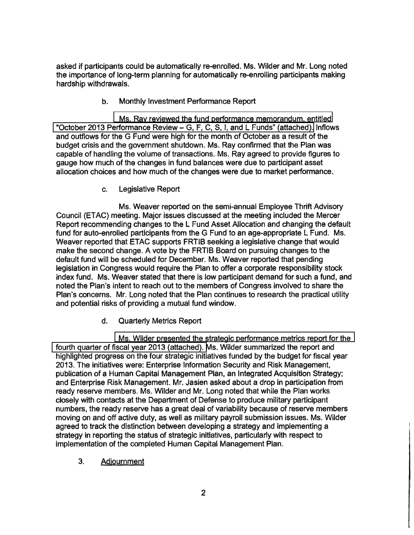asked if participants could be automatically re-enrolled. Ms. Wilder and Mr. Long noted the importance of long-term planning for automatically re-enrolling participants making hardship withdrawals.

b. Monthly Investment Performance Report

[Ms. Ray reviewed the fund performance memorandum, entitled](http://www.frtib.gov/pdf/minutes/MM-2013Nov-Att2.pdf)  ["October 2013 Performance Review-](http://www.frtib.gov/pdf/minutes/MM-2013Nov-Att2.pdf) G, F, C, S, I, and L Funds" (attached). Inflows and outflows for the G Fund were high for the month of October as a result of the budget crisis and the government shutdown. Ms. Ray confirmed that the Plan was capable of handling the volume of transactions. Ms. Ray agreed to provide figures to gauge how much of the changes in fund balances were due to participant asset allocation choices and how much of the changes were due to market performance.

c. Legislative Report

Ms. Weaver reported on the semi-annual Employee Thrift Advisory Council (ETAC) meeting. Major issues discussed at the meeting included the Mercer Report recommending changes to the L Fund Asset Allocation and changing the default fund for auto-enrolled participants from the G Fund to an age-appropriate L Fund. Ms. Weaver reported that ETAC supports FRTIB seeking a legislative change that would make the second change. A vote by the FRTIB Board on pursuing changes to the default fund will be scheduled for December. Ms. Weaver reported that pending legislation in Congress would require the Plan to offer a corporate responsibility stock index fund. Ms. Weaver stated that there is low participant demand for such a fund, and noted the Plan's intent to reach out to the members of Congress involved to share the Plan's concerns. Mr. Long noted that the Plan continues to research the practical utility and potential risks of providing a mutual fund window.

d. Quarterly Metrics Report

[Ms. Wilder presented the strategic performance metrics report for the](http://www.frtib.gov/pdf/minutes/MM-2013Nov-Att3.pdf)  [fourth quarter of fiscal year 2013 \(attached\). M](http://www.frtib.gov/pdf/minutes/MM-2013Nov-Att3.pdf)s. Wilder summarized the report and highlighted progress on the four strategic initiatives funded by the budget for fiscal year 2013. The initiatives were: Enterprise Information Security and Risk Management, publication of a Human Capital Management Plan, an Integrated Acquisition Strategy; and Enterprise Risk Management. Mr. Jasien asked about a drop in participation from ready reserve members. Ms. Wilder and Mr. Long noted that while the Plan works closely with contacts at the Department of Defense to produce military participant numbers, the ready reserve has a great deal of variability because of reserve members moving on and off active duty, as well as military payroll submission issues. Ms. Wilder agreed to track the distinction between developing a strategy and implementing a strategy in reporting the status of strategic initiatives, particularly with respect to implementation of the completed Human Capital Management Plan.

3. Adjournment